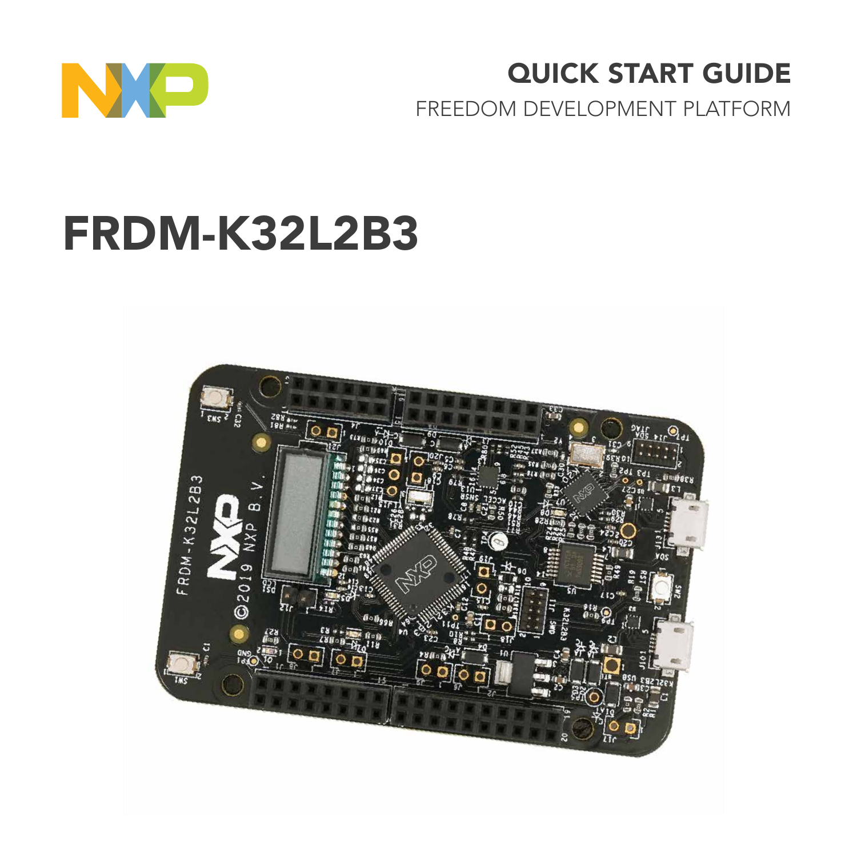

## QUICK START GUIDE

FREEDOM DEVELOPMENT PLATFORM

# FRDM-K32L2B3

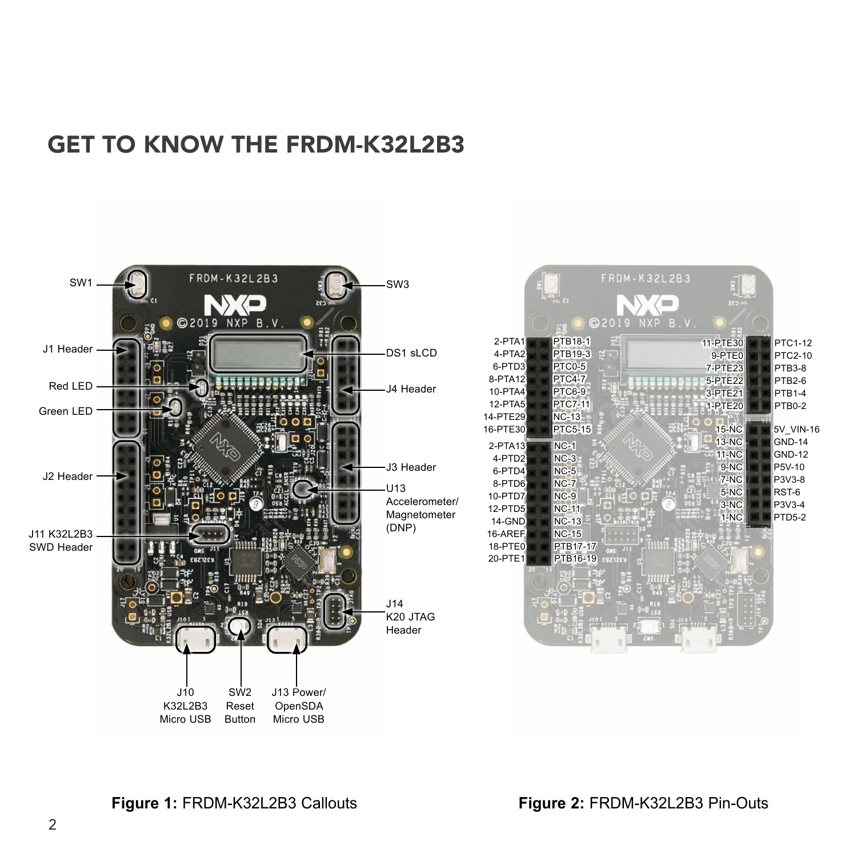#### GET TO KNOW THE FRDM-K32L2B3

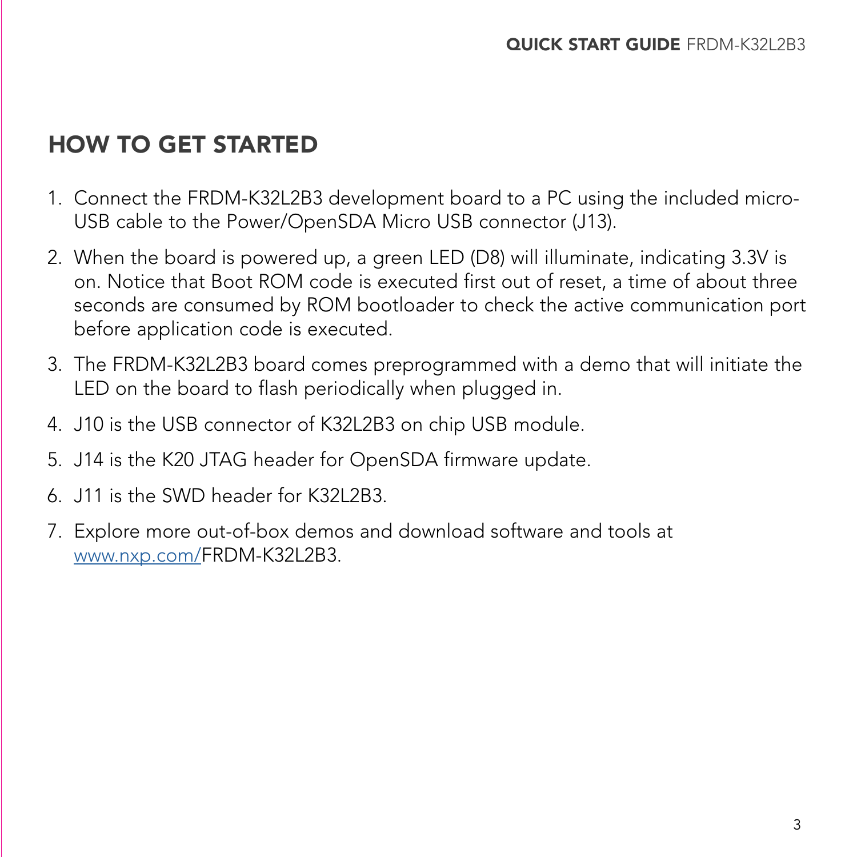### HOW TO GET STARTED

- 1. Connect the FRDM-K32L2B3 development board to a PC using the included micro-USB cable to the Power/OpenSDA Micro USB connector (J13).
- 2. When the board is powered up, a green LED (D8) will illuminate, indicating 3.3V is on. Notice that Boot ROM code is executed first out of reset, a time of about three seconds are consumed by ROM bootloader to check the active communication port before application code is executed.
- 3. The FRDM-K32L2B3 board comes preprogrammed with a demo that will initiate the LED on the board to flash periodically when plugged in.
- 4. J10 is the USB connector of K32L2B3 on chip USB module.
- 5. J14 is the K20 JTAG header for OpenSDA firmware update.
- 6. J11 is the SWD header for K32L2B3.
- 7. Explore more out-of-box demos and download software and tools at [www.nxp.com/](http://www.nxp.com/FRDM-K32L2B3)FRDM-K32L2B3.